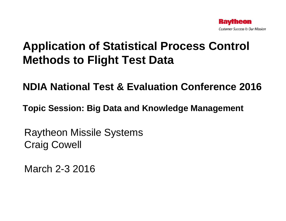

# **Application of Statistical Process Control Methods to Flight Test Data**

#### **NDIA National Test & Evaluation Conference 2016**

**Topic Session: Big Data and Knowledge Management**

Raytheon Missile Systems Craig Cowell

March 2-3 2016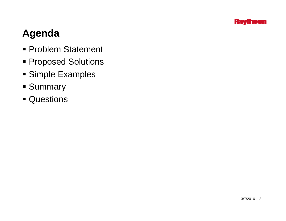

### **Agenda**

- Problem Statement
- **Proposed Solutions**
- Simple Examples
- **Summary**
- Questions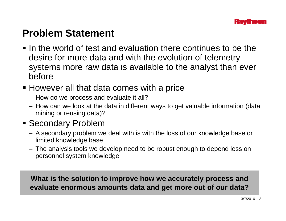### **Problem Statement**

- $\blacksquare$  In the world of test and evaluation there continues to be the desire for more data and with the evolution of telemetry systems more raw data is available to the analyst than ever before
- However all that data comes with a price
	- How do we process and evaluate it all?
	- How can we look at the data in different ways to get valuable information (data mining or reusing data)?
- Secondary Problem
	- A secondary problem we deal with is with the loss of our knowledge base or limited knowledge base
	- The analysis tools we develop need to be robust enough to depend less on personnel system knowledge

What is the solution to improve how we accurately process and **evaluate enormous amounts data and get more out of our data?**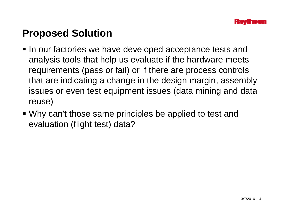## **Proposed Solution**

- In our factories we have developed acceptance tests and analysis tools that help us evaluate if the hardware meets requirements (pass or fail) or if there are process controls that are indicating a change in the design margin, assembly issues or even test equipment issues (data mining and data reuse)
- Why can't those same principles be applied to test and evaluation (flight test) data?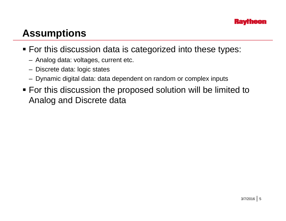# **Assumptions**

- For this discussion data is categorized into these types:
	- Analog data: voltages, current etc.
	- Discrete data: logic states
	- Dynamic digital data: data dependent on random or complex inputs
- For this discussion the proposed solution will be limited to Analog and Discrete data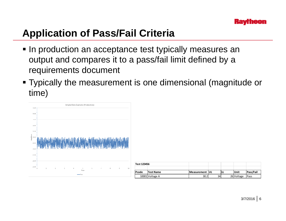# **Application of Pass/Fail Criteria**

- **In production an acceptance test typically measures an**  $\blacksquare$ output and compares it to a pass/fail limit defined by a requirements document
- Typically the measurement is one dimensional (magnitude or time )



| Test 123456 |                  |                 |      |            |            |
|-------------|------------------|-----------------|------|------------|------------|
|             |                  |                 |      |            |            |
| Pcode       | <b>Test Name</b> | Measurement IUL | I LL | Unit       | lPass/Fail |
|             | 10001 Voltage A  | 30.2            | 34   | 26 Voltage | Pass       |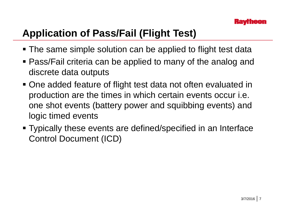# **Application of Pass/Fail (Flight Test)**

- **The same simple solution can be applied to flight test data**
- Pass/Fail criteria can be applied to many of the analog and discrete data outputs
- One added feature of flight test data not often evaluated in production are the times in which certain events occur *i.e.* one shot events (battery power and squibbing events) and logic timed events
- Typically these events are defined/specified in an Interface Control Document (ICD)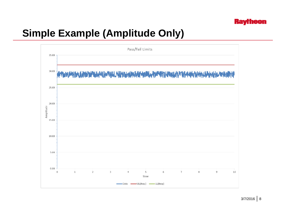# **Simple Example (Amplitude Only)**

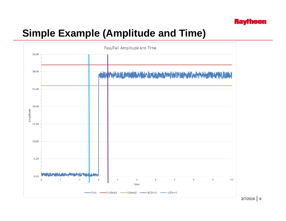

## **Simple Example (Amplitude and Time)**

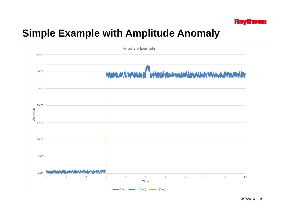#### **Raytheon**

## **Simple Example with Amplitude Anomaly**

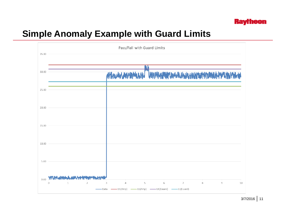

#### **Simple Anomaly Example with Guard Limits**

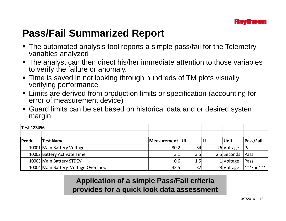# **Pass/Fail Summarized Report**

- The automated analysis tool reports a simple pass/fail for the Telemetry variables analyzed
- The analyst can then direct his/her immediate attention to those variables to verify the failure or anomaly.
- Time is saved in not looking through hundreds of TM plots visually verifying performance
- Limits are derived from production limits or specification (accounting for error of measurement device)
- Guard limits can be set based on historical data and or desired system margin

| <b>Test 123456</b> |                                      |                  |     |     |             |                |
|--------------------|--------------------------------------|------------------|-----|-----|-------------|----------------|
|                    |                                      |                  |     |     |             |                |
| Pcode              | <b>Test Name</b>                     | Measurement   UL |     | ILL | <b>Unit</b> | Pass/Fail      |
|                    | 10001 Main Battery Voltage           | 30.2             | 34  |     | 26 Voltage  | Pass           |
|                    | 10002 Battery Activate Time          | 3.1              | 3.5 |     | 2.5 Seconds | Pass           |
|                    | 10003 Main Battery STDEV             | 0.6              | 1.5 |     | 1 Voltage   | Pass           |
|                    | 10004 Main Battery Voltage Overshoot | 32.5             | 32  |     | 28 Voltage  | $ ***$ Fail*** |

**Application of <sup>a</sup> simple Pass/Fail criteria provides for a quick look data assessment**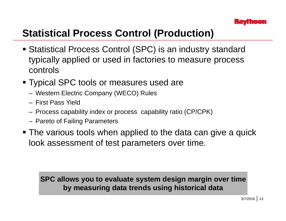# **Statistical Process Control (Production)**

- Statistical Process Control (SPC) is an industry standard typically applied or used in factories to measure process controls
- **Typical SPC tools or measures used are** 
	- Western Electric Company (WECO) Rules
	- First Pass Yield
	- Process capability index or process capability ratio (CP/CPK)
	- Pareto of Failin g Parameters
- **The various tools when applied to the data can give a quick** look assessment of test parameters over time.

#### **SPC allows you to evaluate system design margin over time by measuring data trends using historical data**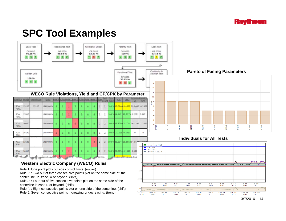

#### **SPC Tool Examples**

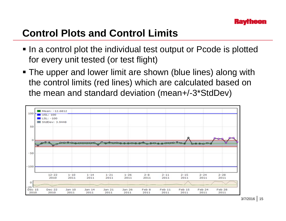### **Control Plots and Control Limits**

- In a control plot the individual test output or Pcode is plotted for every unit tested (or test flight)
- The upper and lower limit are shown (blue lines) along with the control limits (red lines) which are calculated based on the mean and standard deviation (mean+ /-3\*StdDev )

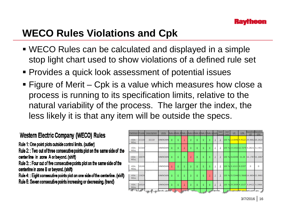## **WECO Rules Violations and Cpk**

- WECO Rules can be calculated and displayed in a simple stop light chart used to show violations of a defined rule set
- **Provides a quick look assessment of potential issues**
- Figure of Merit Cpk is a value which measures how close a process is running to its specification limits, relative to the natural variability of the process. The larger the index, the less likely it is that any item will be outside the specs.

#### Western Electric Company (WECO) Rules

Rule 1: One point plots outside control limits. (outlier)

Rule 2:: Two out of three consecutive points plot on the same side of the center line in zone A or beyond. (shift)

Rule 3: : Four out of five consecutive points plot on the same side of the centerline in zone B or beyond. (shift)

Rule 4: : Eight consecutive points plot on one side of the centerline. (shift) Rule 5: Seven consecutive points increasing or decreasing. (trend)

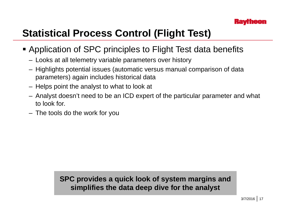# **Statistical Process Control (Flight Test)**

- Application of SPC principles to Flight Test data benefits
	- Looks at all telemetry variable parameters over history
	- Highlights potential issues (automatic versus manual comparison of data  $\,$ parameters) again includes historical data
	- Helps point the analyst to what to look at
	- Analyst doesn't need to be an ICD expert of the particular parameter and what to look for.
	- The tools do the work for you

#### **SPC provides <sup>a</sup> quick look of system margins and simplifies the data deep dive for the analyst**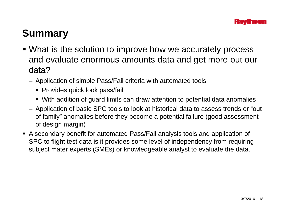## **Summary**

- What is the solution to improve how we accurately process and evaluate enormous amounts data and get more out our data?
	- Application of simple Pass/Fail criteria with automated tools
		- Provides quick look pass/fail
		- With addition of guard limits can draw attention to potential data anomalies
	- Application of basic SPC tools to look at historical data to assess trends or "out of family" anomalies before they become a potential failure (good assessment of design margin)
- A secondary benefit for automated Pass/Fail analysis tools and application of SPC to flight test data is it provides some level of independency from requiring subject mater experts (SMEs) or knowledgeable analyst to evaluate the data.